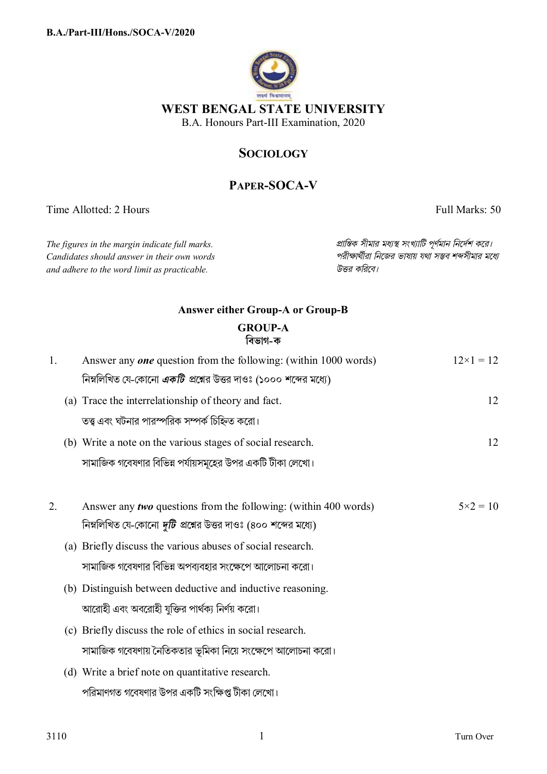

### **SOCIOLOGY**

# **PAPER-SOCA-V**

Time Allotted: 2 Hours Full Marks: 50

*Candidates should answer in their own words পরীkাথীরা িনেজর ভাষায় যথা সmব শbসীমার মেধ° and adhere to the word limit as practicable. উtর কিরেব।*

*The figures in the margin indicate full marks. pািnক সীমার মধ°s সংখ°ািট পূণমান িনেদশ কের।*

## **Answer either Group-A or Group-B GROUP-A িবভাগ-ক**

| 1. | Answer any <i>one</i> question from the following: (within 1000 words) | $12\times1=12$    |
|----|------------------------------------------------------------------------|-------------------|
|    | নিম্নলিখিত যে-কোনো <i>একটি</i> প্রশ্নের উত্তর দাওঃ (১০০০ শব্দের মধ্যে) |                   |
|    | (a) Trace the interrelationship of theory and fact.                    | 12                |
|    | তত্ত্ব এবং ঘটনার পারস্পরিক সম্পর্ক চিহ্নিত করো।                        |                   |
|    | (b) Write a note on the various stages of social research.             | 12                |
|    | সামাজিক গবেষণার বিভিন্ন পর্যায়সমূহের উপর একটি টীকা লেখো।              |                   |
|    |                                                                        |                   |
| 2. | Answer any <i>two</i> questions from the following: (within 400 words) | $5 \times 2 = 10$ |
|    | নিম্নলিখিত যে-কোনো <i>দুটি</i> প্রশ্নের উত্তর দাওঃ (৪০০ শব্দের মধ্যে)  |                   |
|    | (a) Briefly discuss the various abuses of social research.             |                   |
|    | সামাজিক গবেষণার বিভিন্ন অপব্যবহার সংক্ষেপে আলোচনা করো।                 |                   |
|    | (b) Distinguish between deductive and inductive reasoning.             |                   |
|    | আরোহী এবং অবরোহী যুক্তির পার্থক্য নির্ণয় করো।                         |                   |
|    | (c) Briefly discuss the role of ethics in social research.             |                   |
|    | সামাজিক গবেষণায় নৈতিকতার ভূমিকা নিয়ে সংক্ষেপে আলোচনা করো।            |                   |
|    | (d) Write a brief note on quantitative research.                       |                   |
|    | পরিমাণগত গবেষণার উপর একটি সংক্ষিপ্ত টীকা লেখো।                         |                   |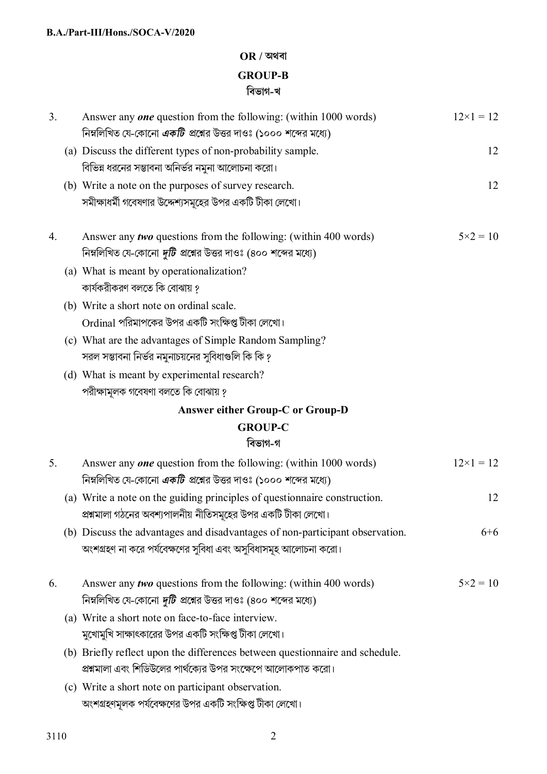# **OR / অথবা GROUP-B িবভাগ-খ**

| 3. | Answer any <i>one</i> question from the following: (within 1000 words)<br>নিম্নলিখিত যে-কোনো একটি প্রশ্নের উত্তর দাওঃ (১০০০ শব্দের মধ্যে)       | $12\times1=12$     |
|----|-------------------------------------------------------------------------------------------------------------------------------------------------|--------------------|
|    | (a) Discuss the different types of non-probability sample.<br>বিভিন্ন ধরনের সম্ভাবনা অনির্ভর নমুনা আলোচনা করো।                                  | 12                 |
|    | (b) Write a note on the purposes of survey research.<br>সমীক্ষাধর্মী গবেষণার উদ্দেশ্যসমূহের উপর একটি টীকা লেখো।                                 | 12                 |
| 4. | Answer any <i>two</i> questions from the following: (within 400 words)<br>নিম্নলিখিত যে-কোনো <i>দুটি</i> প্রশ্নের উত্তর দাওঃ (৪০০ শব্দের মধ্যে) | $5 \times 2 = 10$  |
|    | (a) What is meant by operationalization?<br>কার্যকরীকরণ বলতে কি বোঝায় ?                                                                        |                    |
|    | (b) Write a short note on ordinal scale.<br>Ordinal পরিমাপকের উপর একটি সংক্ষিপ্ত টীকা লেখো।                                                     |                    |
|    | (c) What are the advantages of Simple Random Sampling?<br>সরল সম্ভাবনা নির্ভর নমুনাচয়নের সুবিধাগুলি কি কি ?                                    |                    |
|    | (d) What is meant by experimental research?<br>পরীক্ষামূলক গবেষণা বলতে কি বোঝায় ?                                                              |                    |
|    | <b>Answer either Group-C or Group-D</b>                                                                                                         |                    |
|    | <b>GROUP-C</b>                                                                                                                                  |                    |
|    | বিভাগ-গ                                                                                                                                         |                    |
| 5. | Answer any one question from the following: (within 1000 words)<br>নিম্নলিখিত যে-কোনো <i>একটি প্র</i> শ্নের উত্তর দাওঃ (১০০০ শব্দের মধ্যে)      | $12 \times 1 = 12$ |
|    | (a) Write a note on the guiding principles of questionnaire construction.<br>প্রশ্নমালা গঠনের অবশ্যপালনীয় নীতিসমূহের উপর একটি টীকা লেখো।       | 12                 |
|    | (b) Discuss the advantages and disadvantages of non-participant observation.<br>অংশগ্রহণ না করে পর্যবেক্ষণের সুবিধা এবং অসুবিধাসমূহ আলোচনা করো। | $6 + 6$            |
| 6. | Answer any <i>two</i> questions from the following: (within 400 words)<br>নিম্নলিখিত যে-কোনো <i>দুটি</i> প্রশ্নের উত্তর দাওঃ (৪০০ শব্দের মধ্যে) | $5 \times 2 = 10$  |
|    | (a) Write a short note on face-to-face interview.<br>মুখোমুখি সাক্ষাৎকারের উপর একটি সংক্ষিপ্ত টীকা লেখো।                                        |                    |
|    | (b) Briefly reflect upon the differences between questionnaire and schedule.<br>প্রশ্নমালা এবং শিডিউলের পার্থক্যের উপর সংক্ষেপে আলোকপাত করো।    |                    |
|    | (c) Write a short note on participant observation.<br>অংশগ্রহণমূলক পর্যবেক্ষণের উপর একটি সংক্ষিপ্ত টীকা লেখো।                                   |                    |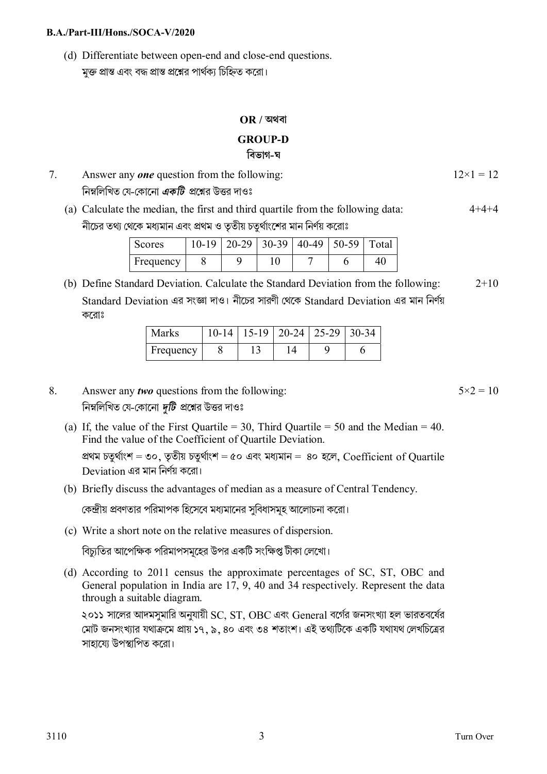#### **B.A./Part-III/Hons./SOCA-V/2020**

(d) Differentiate between open-end and close-end questions. মক্ত প্রান্ত এবং বদ্ধ প্রান্ত প্রশ্নের পার্থক্য চিহ্নিত করো।

## **OR / অথবা GROUP-D িবভাগ-ঘ**

| Answer any <b>one</b> question from the following:  | $12\times1=12$ |
|-----------------------------------------------------|----------------|
| নিম্নলিখিত যে-কোনো <i>একটি প্র</i> শ্নের উত্তর দাওঃ |                |

(a) Calculate the median, the first and third quartile from the following data: নীচের তথ্য থেকে মধ্যমান এবং প্রথম ও তৃতীয় চতুর্থাংশের মান নির্ণয় করোঃ  $4 + 4 + 4$ 

| Scores    |  | $10-19$   20-29   30-39   40-49   50-59   Total |  |  |
|-----------|--|-------------------------------------------------|--|--|
| Frequency |  |                                                 |  |  |

(b) Define Standard Deviation. Calculate the Standard Deviation from the following: Standard Deviation এর সংজ্ঞা দাও। নীচের সারণী থেকে Standard Deviation এর মান নির্ণয় কেরাঃ  $2+10$ 

| Marks     |  | $10-14$   15-19   20-24   25-29   30-34 |  |
|-----------|--|-----------------------------------------|--|
| Frequency |  |                                         |  |

- 8. Answer any *two* questions from the following: নিম্নলিখিত যে-কোনো *দটি প্র*শ্নের উত্তর দাওঃ
	- (a) If, the value of the First Quartile = 30, Third Quartile = 50 and the Median = 40. Find the value of the Coefficient of Quartile Deviation. প্ৰথম চতুৰ্থাংশ = ৩০, তৃতীয় চতুৰ্থাংশ = ৫০ এবং মধ্যমান = ৪০ হলে, Coefficient of Quartile Deviation এর মান িনণয় কেরা।
	- (b) Briefly discuss the advantages of median as a measure of Central Tendency.

কেন্দ্রীয় প্রবণতার পরিমাপক হিসেবে মধ্যমানের সবিধাসমহ আলোচনা করো।

(c) Write a short note on the relative measures of dispersion.

বিচ্যুতির আপেক্ষিক পরিমাপসমূহের উপর একটি সংক্ষিপ্ত টীকা লেখো।

(d) According to 2011 census the approximate percentages of SC, ST, OBC and General population in India are 17, 9, 40 and 34 respectively. Represent the data through a suitable diagram.

২০১১ সালের আদমসুমারি অনুযায়ী SC, ST, OBC এবং General বর্গের জনসংখ্যা হল ভারতবর্ষের মোট জনসংখ্যার যথাক্রমে প্রায় ১৭, ৯, ৪০ এবং ৩৪ শতাংশ। এই তথ্যটিকে একটি যথাযথ লেখচিত্রের সাহায়ে উপস্থাপিত করো।

 $5 \times 2 = 10$